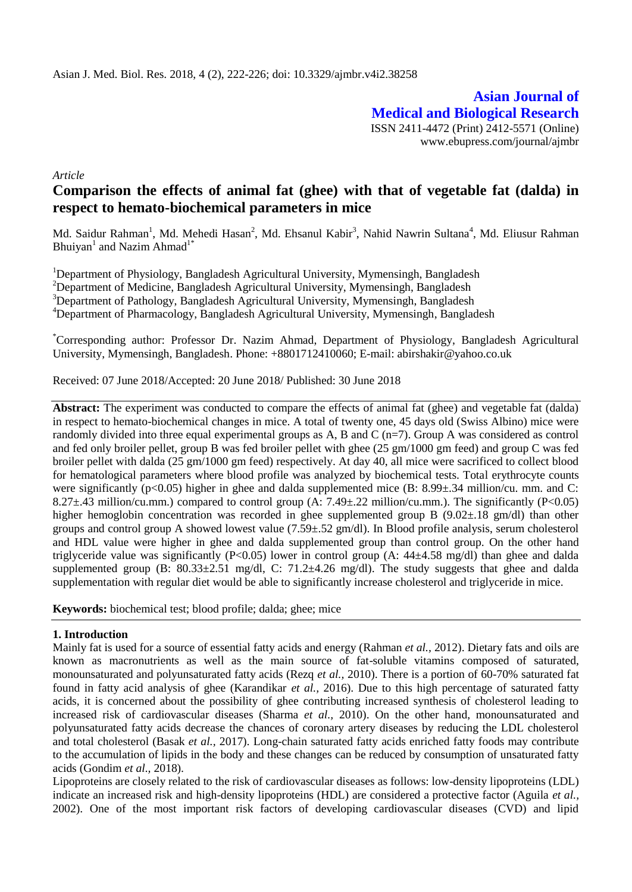**Asian Journal of Medical and Biological Research** ISSN 2411-4472 (Print) 2412-5571 (Online) www.ebupress.com/journal/ajmbr

*Article*

# **Comparison the effects of animal fat (ghee) with that of vegetable fat (dalda) in respect to hemato-biochemical parameters in mice**

Md. Saidur Rahman<sup>1</sup>, Md. Mehedi Hasan<sup>2</sup>, Md. Ehsanul Kabir<sup>3</sup>, Nahid Nawrin Sultana<sup>4</sup>, Md. Eliusur Rahman Bhuiyan<sup>1</sup> and Nazim Ahmad<sup>1\*</sup>

<sup>1</sup>Department of Physiology, Bangladesh Agricultural University, Mymensingh, Bangladesh <sup>2</sup>Department of Medicine, Bangladesh Agricultural University, Mymensingh, Bangladesh <sup>3</sup>Department of Pathology, Bangladesh Agricultural University, Mymensingh, Bangladesh <sup>4</sup>Department of Pharmacology, Bangladesh Agricultural University, Mymensingh, Bangladesh

\*Corresponding author: Professor Dr. Nazim Ahmad, Department of Physiology, Bangladesh Agricultural University, Mymensingh, Bangladesh. Phone: +8801712410060; E-mail: abirshakir@yahoo.co.uk

Received: 07 June 2018/Accepted: 20 June 2018/ Published: 30 June 2018

**Abstract:** The experiment was conducted to compare the effects of animal fat (ghee) and vegetable fat (dalda) in respect to hemato-biochemical changes in mice. A total of twenty one, 45 days old (Swiss Albino) mice were randomly divided into three equal experimental groups as A, B and C (n=7). Group A was considered as control and fed only broiler pellet, group B was fed broiler pellet with ghee (25 gm/1000 gm feed) and group C was fed broiler pellet with dalda (25 gm/1000 gm feed) respectively. At day 40, all mice were sacrificed to collect blood for hematological parameters where blood profile was analyzed by biochemical tests. Total erythrocyte counts were significantly (p<0.05) higher in ghee and dalda supplemented mice (B: 8.99±.34 million/cu. mm. and C: 8.27±.43 million/cu.mm.) compared to control group (A: 7.49±.22 million/cu.mm.). The significantly (P<0.05) higher hemoglobin concentration was recorded in ghee supplemented group B (9.02±.18 gm/dl) than other groups and control group A showed lowest value (7.59±.52 gm/dl). In Blood profile analysis, serum cholesterol and HDL value were higher in ghee and dalda supplemented group than control group. On the other hand triglyceride value was significantly (P<0.05) lower in control group (A:  $44\pm4.58$  mg/dl) than ghee and dalda supplemented group (B: 80.33±2.51 mg/dl, C: 71.2±4.26 mg/dl). The study suggests that ghee and dalda supplementation with regular diet would be able to significantly increase cholesterol and triglyceride in mice.

**Keywords:** biochemical test; blood profile; dalda; ghee; mice

#### **1. Introduction**

Mainly fat is used for a source of essential fatty acids and energy (Rahman *et al.,* 2012). Dietary fats and oils are known as macronutrients as well as the main source of fat-soluble vitamins composed of saturated, monounsaturated and polyunsaturated fatty acids (Rezq *et al.,* 2010). There is a portion of 60-70% saturated fat found in fatty acid analysis of ghee (Karandikar *et al.,* 2016). Due to this high percentage of saturated fatty acids, it is concerned about the possibility of ghee contributing increased synthesis of cholesterol leading to increased risk of cardiovascular diseases (Sharma *et al.,* 2010). On the other hand, monounsaturated and polyunsaturated fatty acids decrease the chances of coronary artery diseases by reducing the LDL cholesterol and total cholesterol (Basak *et al.,* 2017). Long-chain saturated fatty acids enriched fatty foods may contribute to the accumulation of lipids in the body and these changes can be reduced by consumption of unsaturated fatty acids (Gondim *et al.,* 2018).

Lipoproteins are closely related to the risk of cardiovascular diseases as follows: low-density lipoproteins (LDL) indicate an increased risk and high-density lipoproteins (HDL) are considered a protective factor (Aguila *et al.,* 2002). One of the most important risk factors of developing cardiovascular diseases (CVD) and lipid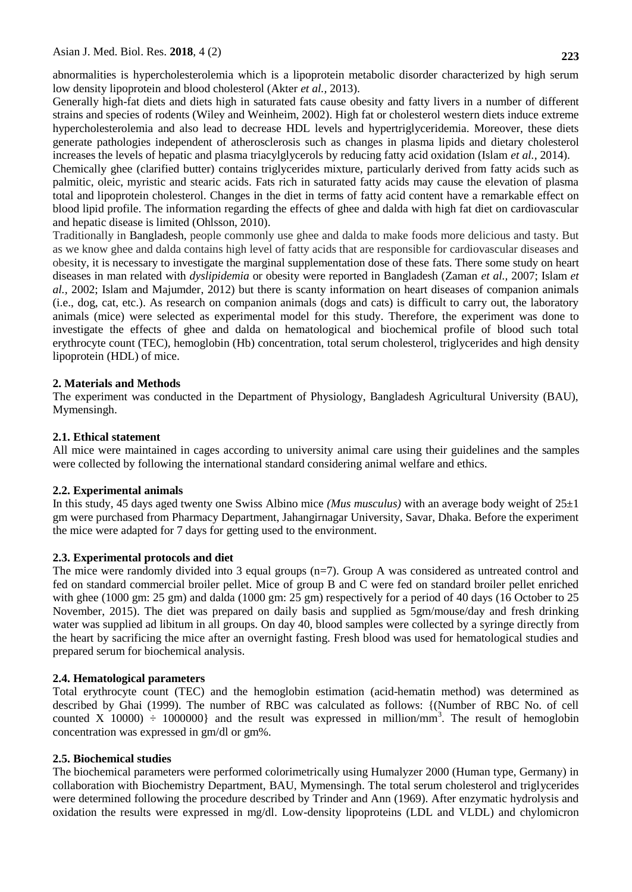abnormalities is hypercholesterolemia which is a lipoprotein metabolic disorder characterized by high serum low density lipoprotein and blood cholesterol (Akter *et al.,* 2013).

Generally high-fat diets and diets high in saturated fats cause obesity and fatty livers in a number of different strains and species of rodents (Wiley and Weinheim, 2002). High fat or cholesterol western diets induce extreme hypercholesterolemia and also lead to decrease HDL levels and hypertriglyceridemia. Moreover, these diets generate pathologies independent of atherosclerosis such as changes in plasma lipids and dietary cholesterol increases the levels of hepatic and plasma triacylglycerols by reducing fatty acid oxidation (Islam *et al.,* 2014).

Chemically ghee (clarified butter) contains triglycerides mixture, particularly derived from fatty acids such as palmitic, oleic, myristic and stearic acids. Fats rich in saturated fatty acids may cause the elevation of plasma total and lipoprotein cholesterol. Changes in the diet in terms of fatty acid content have a remarkable effect on blood lipid profile. The information regarding the effects of ghee and dalda with high fat diet on cardiovascular and hepatic disease is limited (Ohlsson, 2010).

Traditionally in Bangladesh, people commonly use ghee and dalda to make foods more delicious and tasty. But as we know ghee and dalda contains high level of fatty acids that are responsible for cardiovascular diseases and obesity, it is necessary to investigate the marginal supplementation dose of these fats. There some study on heart diseases in man related with *dyslipidemia* or obesity were reported in Bangladesh (Zaman *et al.,* 2007; Islam *et al.,* 2002; Islam and Majumder, 2012) but there is scanty information on heart diseases of companion animals (i.e., dog, cat, etc.). As research on companion animals (dogs and cats) is difficult to carry out, the laboratory animals (mice) were selected as experimental model for this study. Therefore, the experiment was done to investigate the effects of ghee and dalda on hematological and biochemical profile of blood such total erythrocyte count (TEC), hemoglobin (Hb) concentration, total serum cholesterol, triglycerides and high density lipoprotein (HDL) of mice.

#### **2. Materials and Methods**

The experiment was conducted in the Department of Physiology, Bangladesh Agricultural University (BAU), Mymensingh.

### **2.1. Ethical statement**

All mice were maintained in cages according to university animal care using their guidelines and the samples were collected by following the international standard considering animal welfare and ethics.

#### **2.2. Experimental animals**

In this study, 45 days aged twenty one Swiss Albino mice *(Mus musculus)* with an average body weight of 25±1 gm were purchased from Pharmacy Department, Jahangirnagar University, Savar, Dhaka. Before the experiment the mice were adapted for 7 days for getting used to the environment.

## **2.3. Experimental protocols and diet**

The mice were randomly divided into 3 equal groups (n=7). Group A was considered as untreated control and fed on standard commercial broiler pellet. Mice of group B and C were fed on standard broiler pellet enriched with ghee (1000 gm: 25 gm) and dalda (1000 gm: 25 gm) respectively for a period of 40 days (16 October to 25 November, 2015). The diet was prepared on daily basis and supplied as 5gm/mouse/day and fresh drinking water was supplied ad libitum in all groups. On day 40, blood samples were collected by a syringe directly from the heart by sacrificing the mice after an overnight fasting. Fresh blood was used for hematological studies and prepared serum for biochemical analysis.

#### **2.4. Hematological parameters**

Total erythrocyte count (TEC) and the hemoglobin estimation (acid-hematin method) was determined as described by Ghai (1999). The number of RBC was calculated as follows: {(Number of RBC No. of cell counted X 10000)  $\div$  1000000} and the result was expressed in million/mm<sup>3</sup>. The result of hemoglobin concentration was expressed in gm/dl or gm%.

#### **2.5. Biochemical studies**

The biochemical parameters were performed colorimetrically using Humalyzer 2000 (Human type, Germany) in collaboration with Biochemistry Department, BAU, Mymensingh. The total serum cholesterol and triglycerides were determined following the procedure described by Trinder and Ann (1969). After enzymatic hydrolysis and oxidation the results were expressed in mg/dl. Low-density lipoproteins (LDL and VLDL) and chylomicron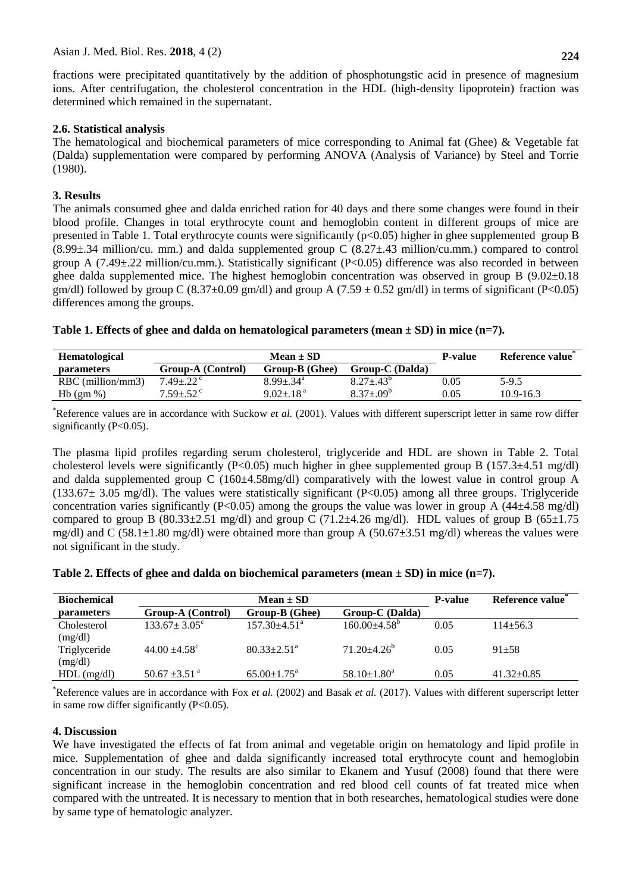fractions were precipitated quantitatively by the addition of phosphotungstic acid in presence of magnesium ions. After centrifugation, the cholesterol concentration in the HDL (high-density lipoprotein) fraction was determined which remained in the supernatant.

### **2.6. Statistical analysis**

The hematological and biochemical parameters of mice corresponding to Animal fat (Ghee) & Vegetable fat (Dalda) supplementation were compared by performing ANOVA (Analysis of Variance) by Steel and Torrie (1980).

### **3. Results**

The animals consumed ghee and dalda enriched ration for 40 days and there some changes were found in their blood profile. Changes in total erythrocyte count and hemoglobin content in different groups of mice are presented in Table 1. Total erythrocyte counts were significantly (p<0.05) higher in ghee supplemented group B  $(8.99\pm.34 \text{ million/cu. mm.})$  and dalda supplemented group C  $(8.27\pm.43 \text{ million/cu.mm.})$  compared to control group A (7.49±.22 million/cu.mm.). Statistically significant (P<0.05) difference was also recorded in between ghee dalda supplemented mice. The highest hemoglobin concentration was observed in group B  $(9.02\pm0.18$ gm/dl) followed by group C (8.37 $\pm$ 0.09 gm/dl) and group A (7.59  $\pm$  0.52 gm/dl) in terms of significant (P<0.05) differences among the groups.

|  |  | Table 1. Effects of ghee and dalda on hematological parameters (mean $\pm$ SD) in mice (n=7). |  |  |
|--|--|-----------------------------------------------------------------------------------------------|--|--|
|  |  |                                                                                               |  |  |

| <b>Hematological</b> | $Mean \pm SD$            |                           |                     | <b>P-value</b> | Reference value |
|----------------------|--------------------------|---------------------------|---------------------|----------------|-----------------|
| <i>parameters</i>    | <b>Group-A</b> (Control) | Group-B (Ghee)            | Group-C (Dalda)     |                |                 |
| RBC (million/mm3)    | $7.49 \pm .22$ °         | $8.99 \pm .34^{\text{a}}$ | $8.27 + 43^{\circ}$ | 0.05           | $5 - 9.5$       |
| $Hb$ (gm %)          | $7.59 \pm .52$ °         | $9.02 \pm 18^{a}$         | $8.37 + .09^b$      | 0.05           | $10.9 - 16.3$   |

\*Reference values are in accordance with Suckow *et al.* (2001). Values with different superscript letter in same row differ significantly (P<0.05).

The plasma lipid profiles regarding serum cholesterol, triglyceride and HDL are shown in Table 2. Total cholesterol levels were significantly (P<0.05) much higher in ghee supplemented group B (157.3±4.51 mg/dl) and dalda supplemented group C (160±4.58mg/dl) comparatively with the lowest value in control group A  $(133.67 \pm 3.05 \text{ mg/d})$ . The values were statistically significant (P<0.05) among all three groups. Triglyceride concentration varies significantly (P<0.05) among the groups the value was lower in group A (44 $\pm$ 4.58 mg/dl) compared to group B (80.33 $\pm$ 2.51 mg/dl) and group C (71.2 $\pm$ 4.26 mg/dl). HDL values of group B (65 $\pm$ 1.75 mg/dl) and C (58.1 $\pm$ 1.80 mg/dl) were obtained more than group A (50.67 $\pm$ 3.51 mg/dl) whereas the values were not significant in the study.

| Table 2. Effects of ghee and dalda on biochemical parameters (mean $\pm$ SD) in mice (n=7). |  |  |  |
|---------------------------------------------------------------------------------------------|--|--|--|
|                                                                                             |  |  |  |

| <b>Biochemical</b>      |                               | Mean $\pm$ SD                 | <b>P-value</b>          | Reference value <sup>®</sup> |                  |
|-------------------------|-------------------------------|-------------------------------|-------------------------|------------------------------|------------------|
| parameters              | Group-A (Control)             | Group-B (Ghee)                | Group-C (Dalda)         |                              |                  |
| Cholesterol<br>(mg/dl)  | $133.67 \pm 3.05^{\circ}$     | $157.30 + 4.51$ <sup>a</sup>  | $160.00\pm4.58^{\circ}$ | 0.05                         | $114 + 56.3$     |
| Triglyceride<br>(mg/dl) | $44.00 + 4.58$ °              | $80.33 \pm 2.51$ <sup>a</sup> | $71.20 \pm 4.26^b$      | 0.05                         | $91 + 58$        |
| $HDL$ (mg/dl)           | $50.67 \pm 3.51$ <sup>a</sup> | $65.00 \pm 1.75^{\text{a}}$   | $58.10 \pm 1.80^a$      | 0.05                         | $41.32 \pm 0.85$ |

\*Reference values are in accordance with Fox *et al.* (2002) and Basak *et al.* (2017). Values with different superscript letter in same row differ significantly (P<0.05).

#### **4. Discussion**

We have investigated the effects of fat from animal and vegetable origin on hematology and lipid profile in mice. Supplementation of ghee and dalda significantly increased total erythrocyte count and hemoglobin concentration in our study. The results are also similar to Ekanem and Yusuf (2008) found that there were significant increase in the hemoglobin concentration and red blood cell counts of fat treated mice when compared with the untreated. It is necessary to mention that in both researches, hematological studies were done by same type of hematologic analyzer.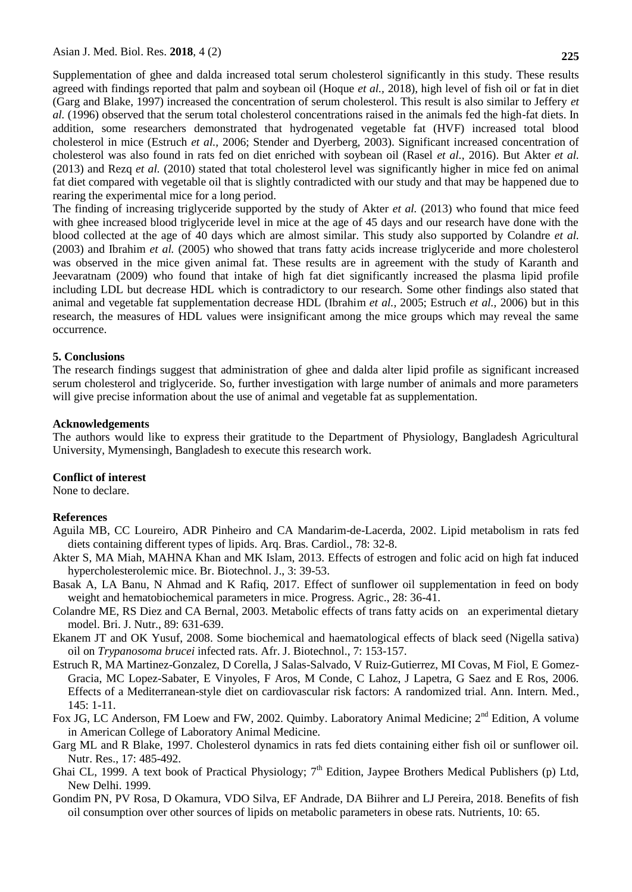Supplementation of ghee and dalda increased total serum cholesterol significantly in this study. These results agreed with findings reported that palm and soybean oil (Hoque *et al.,* 2018), high level of fish oil or fat in diet (Garg and Blake, 1997) increased the concentration of serum cholesterol. This result is also similar to Jeffery *et al.* (1996) observed that the serum total cholesterol concentrations raised in the animals fed the high-fat diets. In addition, some researchers demonstrated that hydrogenated vegetable fat (HVF) increased total blood cholesterol in mice (Estruch *et al.,* 2006; Stender and Dyerberg, 2003). Significant increased concentration of cholesterol was also found in rats fed on diet enriched with soybean oil (Rasel *et al.,* 2016). But Akter *et al.* (2013) and Rezq *et al.* (2010) stated that total cholesterol level was significantly higher in mice fed on animal fat diet compared with vegetable oil that is slightly contradicted with our study and that may be happened due to rearing the experimental mice for a long period.

The finding of increasing triglyceride supported by the study of Akter *et al.* (2013) who found that mice feed with ghee increased blood triglyceride level in mice at the age of 45 days and our research have done with the blood collected at the age of 40 days which are almost similar. This study also supported by Colandre *et al.* (2003) and Ibrahim *et al.* (2005) who showed that trans fatty acids increase triglyceride and more cholesterol was observed in the mice given animal fat. These results are in agreement with the study of Karanth and Jeevaratnam (2009) who found that intake of high fat diet significantly increased the plasma lipid profile including LDL but decrease HDL which is contradictory to our research. Some other findings also stated that animal and vegetable fat supplementation decrease HDL (Ibrahim *et al.,* 2005; Estruch *et al.,* 2006) but in this research, the measures of HDL values were insignificant among the mice groups which may reveal the same occurrence.

#### **5. Conclusions**

The research findings suggest that administration of ghee and dalda alter lipid profile as significant increased serum cholesterol and triglyceride. So, further investigation with large number of animals and more parameters will give precise information about the use of animal and vegetable fat as supplementation.

#### **Acknowledgements**

The authors would like to express their gratitude to the Department of Physiology, Bangladesh Agricultural University, Mymensingh, Bangladesh to execute this research work.

#### **Conflict of interest**

None to declare.

#### **References**

- Aguila MB, CC Loureiro, ADR Pinheiro and CA Mandarim-de-Lacerda, 2002. Lipid metabolism in rats fed diets containing different types of lipids. [Arq. Bras. Cardiol.](http://www.arquivosonline.com.br/2015/english/), 78: 32-8.
- Akter S, MA Miah, MAHNA Khan and MK Islam, 2013. Effects of estrogen and folic acid on high fat induced hypercholesterolemic mice. Br. Biotechnol. J., 3: 39-53.
- Basak A, LA Banu, N Ahmad and K Rafiq, 2017. Effect of sunflower oil supplementation in feed on body weight and hematobiochemical parameters in mice. Progress. Agric., 28: 36-41.
- Colandre ME, RS Diez and CA Bernal, 2003. Metabolic effects of trans fatty acids on an experimental dietary model. Bri. J. Nutr., 89: 631-639.
- Ekanem JT and OK Yusuf, 2008. Some biochemical and haematological effects of black seed (Nigella sativa) oil on *Trypanosoma brucei* infected rats. Afr. J. Biotechnol., 7: 153-157.
- Estruch R, MA Martinez-Gonzalez, D Corella, J Salas-Salvado, V Ruiz-Gutierrez, MI Covas, M Fiol, E Gomez-Gracia, MC Lopez-Sabater, E Vinyoles, F Aros, M Conde, C Lahoz, J Lapetra, G Saez and E Ros, 2006. Effects of a Mediterranean-style diet on cardiovascular risk factors: A randomized trial. Ann. Intern. Med., 145: 1-11.
- Fox JG, LC Anderson, FM Loew and FW, 2002. Quimby. Laboratory Animal Medicine; 2<sup>nd</sup> Edition, A volume in American College of Laboratory Animal Medicine.
- Garg ML and R Blake, 1997. Cholesterol dynamics in rats fed diets containing either fish oil or sunflower oil. Nutr. Res., 17: 485-492.
- Ghai CL, 1999. A text book of Practical Physiology; 7<sup>th</sup> Edition, Jaypee Brothers Medical Publishers (p) Ltd, New Delhi. 1999.
- Gondim PN, PV Rosa, D Okamura, VDO Silva, EF Andrade, DA Biihrer and LJ Pereira, 2018. Benefits of fish oil consumption over other sources of lipids on metabolic parameters in obese rats. Nutrients, 10: 65.